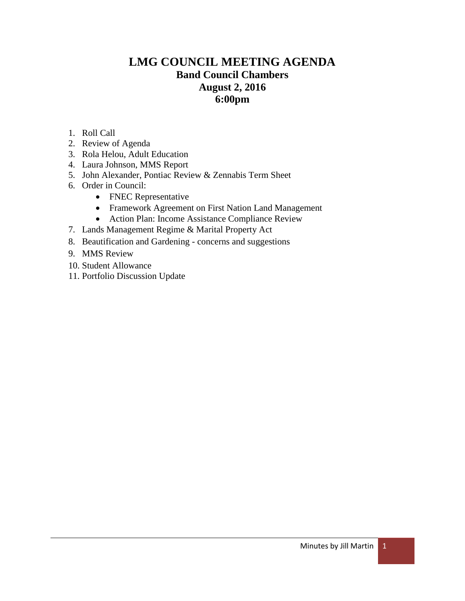# **LMG COUNCIL MEETING AGENDA Band Council Chambers August 2, 2016 6:00pm**

- 1. Roll Call
- 2. Review of Agenda
- 3. Rola Helou, Adult Education
- 4. Laura Johnson, MMS Report
- 5. John Alexander, Pontiac Review & Zennabis Term Sheet
- 6. Order in Council:
	- FNEC Representative
	- Framework Agreement on First Nation Land Management
	- Action Plan: Income Assistance Compliance Review
- 7. Lands Management Regime & Marital Property Act
- 8. Beautification and Gardening concerns and suggestions
- 9. MMS Review
- 10. Student Allowance
- 11. Portfolio Discussion Update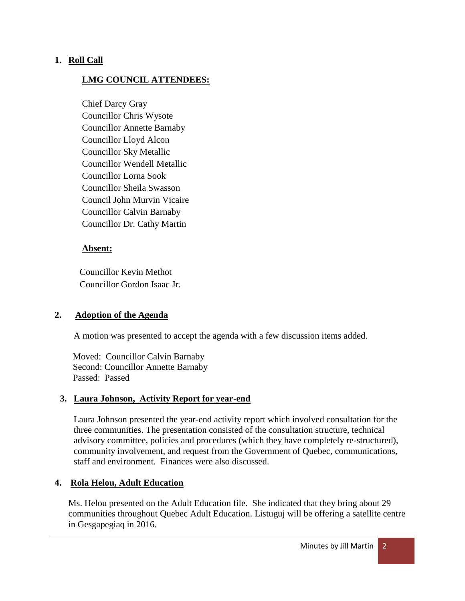### **1. Roll Call**

### **LMG COUNCIL ATTENDEES:**

Chief Darcy Gray Councillor Chris Wysote Councillor Annette Barnaby Councillor Lloyd Alcon Councillor Sky Metallic Councillor Wendell Metallic Councillor Lorna Sook Councillor Sheila Swasson Council John Murvin Vicaire Councillor Calvin Barnaby Councillor Dr. Cathy Martin

### **Absent:**

 Councillor Kevin Methot Councillor Gordon Isaac Jr.

### **2. Adoption of the Agenda**

A motion was presented to accept the agenda with a few discussion items added.

 Moved: Councillor Calvin Barnaby Second: Councillor Annette Barnaby Passed: Passed

### **3. Laura Johnson, Activity Report for year-end**

Laura Johnson presented the year-end activity report which involved consultation for the three communities. The presentation consisted of the consultation structure, technical advisory committee, policies and procedures (which they have completely re-structured), community involvement, and request from the Government of Quebec, communications, staff and environment. Finances were also discussed.

### **4. Rola Helou, Adult Education**

Ms. Helou presented on the Adult Education file. She indicated that they bring about 29 communities throughout Quebec Adult Education. Listuguj will be offering a satellite centre in Gesgapegiaq in 2016.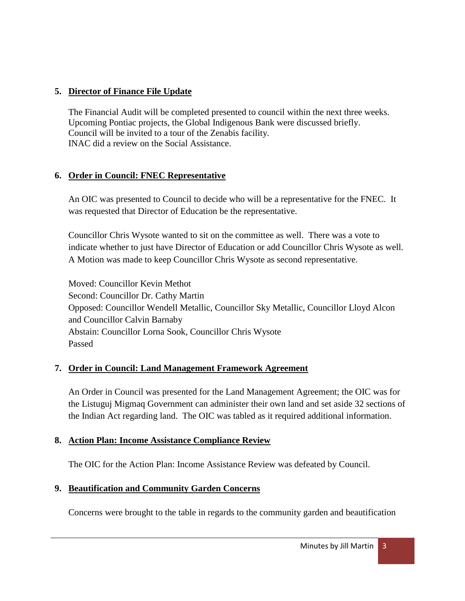# **5. Director of Finance File Update**

The Financial Audit will be completed presented to council within the next three weeks. Upcoming Pontiac projects, the Global Indigenous Bank were discussed briefly. Council will be invited to a tour of the Zenabis facility. INAC did a review on the Social Assistance.

# **6. Order in Council: FNEC Representative**

An OIC was presented to Council to decide who will be a representative for the FNEC. It was requested that Director of Education be the representative.

Councillor Chris Wysote wanted to sit on the committee as well. There was a vote to indicate whether to just have Director of Education or add Councillor Chris Wysote as well. A Motion was made to keep Councillor Chris Wysote as second representative.

Moved: Councillor Kevin Methot Second: Councillor Dr. Cathy Martin Opposed: Councillor Wendell Metallic, Councillor Sky Metallic, Councillor Lloyd Alcon and Councillor Calvin Barnaby Abstain: Councillor Lorna Sook, Councillor Chris Wysote Passed

# **7. Order in Council: Land Management Framework Agreement**

An Order in Council was presented for the Land Management Agreement; the OIC was for the Listuguj Migmaq Government can administer their own land and set aside 32 sections of the Indian Act regarding land. The OIC was tabled as it required additional information.

# **8. Action Plan: Income Assistance Compliance Review**

The OIC for the Action Plan: Income Assistance Review was defeated by Council.

# **9. Beautification and Community Garden Concerns**

Concerns were brought to the table in regards to the community garden and beautification